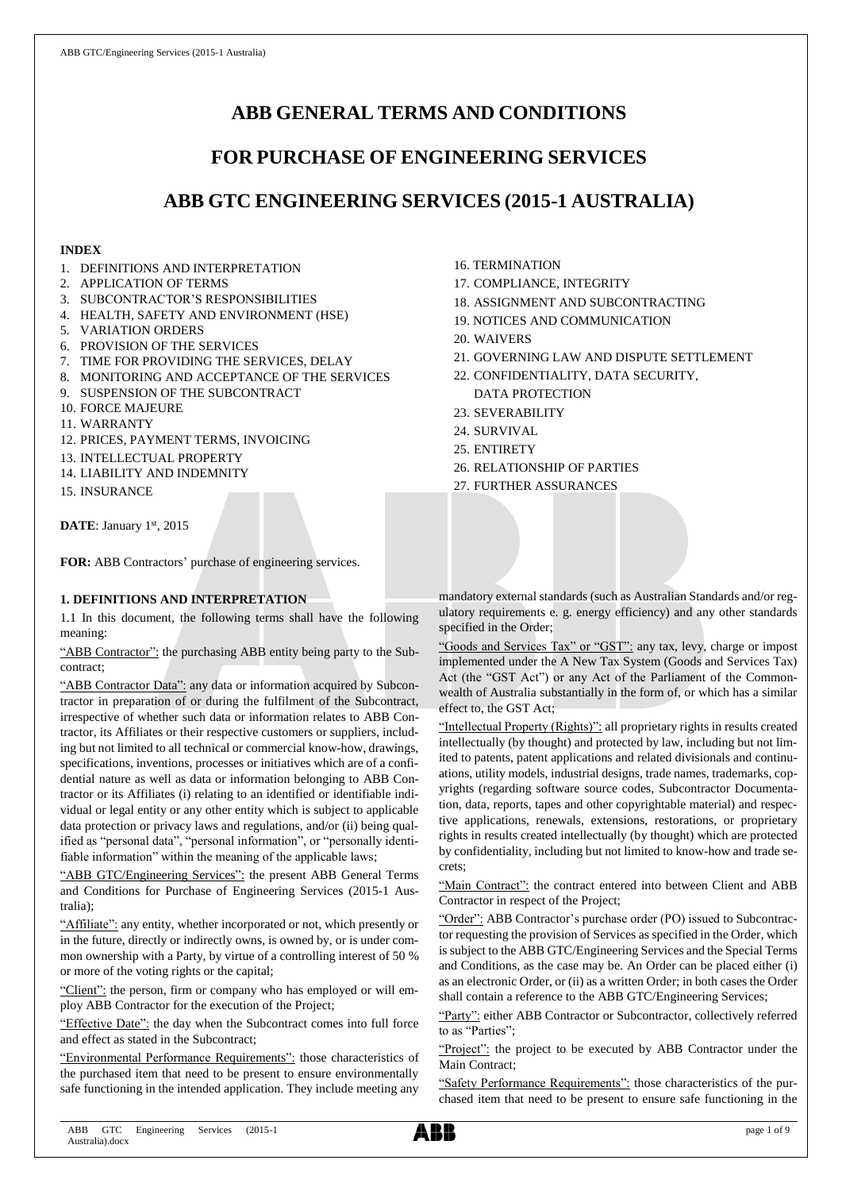# **ABB GENERAL TERMS AND CONDITIONS**

# **FOR PURCHASE OF ENGINEERING SERVICES**

# **ABB GTC ENGINEERING SERVICES (2015-1 AUSTRALIA)**

# **INDEX**

- 1. DEFINITIONS AND INTERPRETATION
- 2. APPLICATION OF TERMS
- 3. SUBCONTRACTOR'S RESPONSIBILITIES
- 4. HEALTH, SAFETY AND ENVIRONMENT (HSE)
- 5. VARIATION ORDERS
- 6. PROVISION OF THE SERVICES
- 7. TIME FOR PROVIDING THE SERVICES, DELAY
- 8. MONITORING AND ACCEPTANCE OF THE SERVICES
- 9. SUSPENSION OF THE SUBCONTRACT
- 10. FORCE MAJEURE
- 11. WARRANTY
- 12. PRICES, PAYMENT TERMS, INVOICING
- 13. INTELLECTUAL PROPERTY
- 14. LIABILITY AND INDEMNITY
- 15. INSURANCE

DATE: January 1st, 2015

**FOR:** ABB Contractors' purchase of engineering services.

# **1. DEFINITIONS AND INTERPRETATION**

1.1 In this document, the following terms shall have the following meaning:

"ABB Contractor": the purchasing ABB entity being party to the Subcontract;

"ABB Contractor Data": any data or information acquired by Subcontractor in preparation of or during the fulfilment of the Subcontract, irrespective of whether such data or information relates to ABB Contractor, its Affiliates or their respective customers or suppliers, including but not limited to all technical or commercial know-how, drawings, specifications, inventions, processes or initiatives which are of a confidential nature as well as data or information belonging to ABB Contractor or its Affiliates (i) relating to an identified or identifiable individual or legal entity or any other entity which is subject to applicable data protection or privacy laws and regulations, and/or (ii) being qualified as "personal data", "personal information", or "personally identifiable information" within the meaning of the applicable laws;

"ABB GTC/Engineering Services": the present ABB General Terms and Conditions for Purchase of Engineering Services (2015-1 Australia);

"Affiliate": any entity, whether incorporated or not, which presently or in the future, directly or indirectly owns, is owned by, or is under common ownership with a Party, by virtue of a controlling interest of 50 % or more of the voting rights or the capital;

"Client": the person, firm or company who has employed or will employ ABB Contractor for the execution of the Project;

"Effective Date": the day when the Subcontract comes into full force and effect as stated in the Subcontract;

"Environmental Performance Requirements": those characteristics of the purchased item that need to be present to ensure environmentally safe functioning in the intended application. They include meeting any

- 16. TERMINATION
- 17. COMPLIANCE, INTEGRITY
- 18. ASSIGNMENT AND SUBCONTRACTING
- 19. NOTICES AND COMMUNICATION
- 20. WAIVERS
- 21. GOVERNING LAW AND DISPUTE SETTLEMENT
- 22. CONFIDENTIALITY, DATA SECURITY, DATA PROTECTION
- 23. SEVERABILITY
- 24. SURVIVAL
- 25. ENTIRETY
- 26. RELATIONSHIP OF PARTIES

27. FURTHER ASSURANCES

mandatory external standards (such as Australian Standards and/or regulatory requirements e. g. energy efficiency) and any other standards specified in the Order;

"Goods and Services Tax" or "GST": any tax, levy, charge or impost implemented under the A New Tax System (Goods and Services Tax) Act (the "GST Act") or any Act of the Parliament of the Commonwealth of Australia substantially in the form of, or which has a similar effect to, the GST Act;

"Intellectual Property (Rights)": all proprietary rights in results created intellectually (by thought) and protected by law, including but not limited to patents, patent applications and related divisionals and continuations, utility models, industrial designs, trade names, trademarks, copyrights (regarding software source codes, Subcontractor Documentation, data, reports, tapes and other copyrightable material) and respective applications, renewals, extensions, restorations, or proprietary rights in results created intellectually (by thought) which are protected by confidentiality, including but not limited to know-how and trade secrets;

"Main Contract": the contract entered into between Client and ABB Contractor in respect of the Project;

"Order": ABB Contractor's purchase order (PO) issued to Subcontractor requesting the provision of Services as specified in the Order, which is subject to the ABB GTC/Engineering Services and the Special Terms and Conditions, as the case may be. An Order can be placed either (i) as an electronic Order, or (ii) as a written Order; in both cases the Order shall contain a reference to the ABB GTC/Engineering Services;

"Party": either ABB Contractor or Subcontractor, collectively referred to as "Parties";

"Project": the project to be executed by ABB Contractor under the Main Contract;

"Safety Performance Requirements": those characteristics of the purchased item that need to be present to ensure safe functioning in the

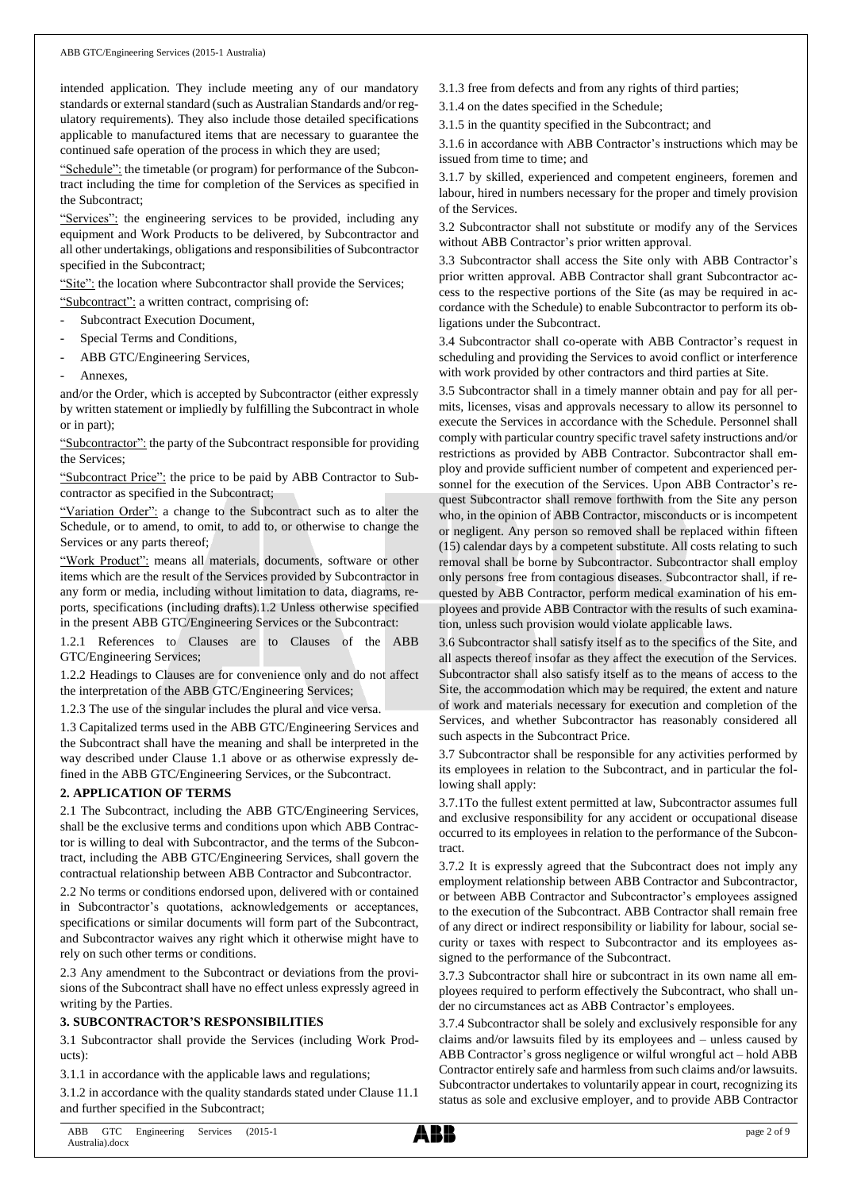intended application. They include meeting any of our mandatory standards or external standard (such as Australian Standards and/or regulatory requirements). They also include those detailed specifications applicable to manufactured items that are necessary to guarantee the continued safe operation of the process in which they are used;

"Schedule": the timetable (or program) for performance of the Subcontract including the time for completion of the Services as specified in the Subcontract;

"Services": the engineering services to be provided, including any equipment and Work Products to be delivered, by Subcontractor and all other undertakings, obligations and responsibilities of Subcontractor specified in the Subcontract;

"Site": the location where Subcontractor shall provide the Services;

"Subcontract": a written contract, comprising of:

- Subcontract Execution Document,
- Special Terms and Conditions,
- ABB GTC/Engineering Services,
- Annexes,

and/or the Order, which is accepted by Subcontractor (either expressly by written statement or impliedly by fulfilling the Subcontract in whole or in part);

"Subcontractor": the party of the Subcontract responsible for providing the Services;

"Subcontract Price": the price to be paid by ABB Contractor to Subcontractor as specified in the Subcontract;

"Variation Order": a change to the Subcontract such as to alter the Schedule, or to amend, to omit, to add to, or otherwise to change the Services or any parts thereof;

"Work Product": means all materials, documents, software or other items which are the result of the Services provided by Subcontractor in any form or media, including without limitation to data, diagrams, reports, specifications (including drafts).1.2 Unless otherwise specified in the present ABB GTC/Engineering Services or the Subcontract:

1.2.1 References to Clauses are to Clauses of the ABB GTC/Engineering Services;

1.2.2 Headings to Clauses are for convenience only and do not affect the interpretation of the ABB GTC/Engineering Services;

1.2.3 The use of the singular includes the plural and vice versa.

1.3 Capitalized terms used in the ABB GTC/Engineering Services and the Subcontract shall have the meaning and shall be interpreted in the way described under Clause 1.1 above or as otherwise expressly defined in the ABB GTC/Engineering Services, or the Subcontract.

## **2. APPLICATION OF TERMS**

2.1 The Subcontract, including the ABB GTC/Engineering Services, shall be the exclusive terms and conditions upon which ABB Contractor is willing to deal with Subcontractor, and the terms of the Subcontract, including the ABB GTC/Engineering Services, shall govern the contractual relationship between ABB Contractor and Subcontractor.

2.2 No terms or conditions endorsed upon, delivered with or contained in Subcontractor's quotations, acknowledgements or acceptances, specifications or similar documents will form part of the Subcontract, and Subcontractor waives any right which it otherwise might have to rely on such other terms or conditions.

2.3 Any amendment to the Subcontract or deviations from the provisions of the Subcontract shall have no effect unless expressly agreed in writing by the Parties.

## **3. SUBCONTRACTOR'S RESPONSIBILITIES**

3.1 Subcontractor shall provide the Services (including Work Products):

3.1.1 in accordance with the applicable laws and regulations;

3.1.2 in accordance with the quality standards stated under Clause 11.1 and further specified in the Subcontract;

3.1.3 free from defects and from any rights of third parties;

3.1.4 on the dates specified in the Schedule;

3.1.5 in the quantity specified in the Subcontract; and

3.1.6 in accordance with ABB Contractor's instructions which may be issued from time to time; and

3.1.7 by skilled, experienced and competent engineers, foremen and labour, hired in numbers necessary for the proper and timely provision of the Services.

3.2 Subcontractor shall not substitute or modify any of the Services without ABB Contractor's prior written approval.

3.3 Subcontractor shall access the Site only with ABB Contractor's prior written approval. ABB Contractor shall grant Subcontractor access to the respective portions of the Site (as may be required in accordance with the Schedule) to enable Subcontractor to perform its obligations under the Subcontract.

3.4 Subcontractor shall co-operate with ABB Contractor's request in scheduling and providing the Services to avoid conflict or interference with work provided by other contractors and third parties at Site.

3.5 Subcontractor shall in a timely manner obtain and pay for all permits, licenses, visas and approvals necessary to allow its personnel to execute the Services in accordance with the Schedule. Personnel shall comply with particular country specific travel safety instructions and/or restrictions as provided by ABB Contractor. Subcontractor shall employ and provide sufficient number of competent and experienced personnel for the execution of the Services. Upon ABB Contractor's request Subcontractor shall remove forthwith from the Site any person who, in the opinion of ABB Contractor, misconducts or is incompetent or negligent. Any person so removed shall be replaced within fifteen (15) calendar days by a competent substitute. All costs relating to such removal shall be borne by Subcontractor. Subcontractor shall employ only persons free from contagious diseases. Subcontractor shall, if requested by ABB Contractor, perform medical examination of his employees and provide ABB Contractor with the results of such examination, unless such provision would violate applicable laws.

3.6 Subcontractor shall satisfy itself as to the specifics of the Site, and all aspects thereof insofar as they affect the execution of the Services. Subcontractor shall also satisfy itself as to the means of access to the Site, the accommodation which may be required, the extent and nature of work and materials necessary for execution and completion of the Services, and whether Subcontractor has reasonably considered all such aspects in the Subcontract Price.

3.7 Subcontractor shall be responsible for any activities performed by its employees in relation to the Subcontract, and in particular the following shall apply:

3.7.1To the fullest extent permitted at law, Subcontractor assumes full and exclusive responsibility for any accident or occupational disease occurred to its employees in relation to the performance of the Subcontract.

3.7.2 It is expressly agreed that the Subcontract does not imply any employment relationship between ABB Contractor and Subcontractor, or between ABB Contractor and Subcontractor's employees assigned to the execution of the Subcontract. ABB Contractor shall remain free of any direct or indirect responsibility or liability for labour, social security or taxes with respect to Subcontractor and its employees assigned to the performance of the Subcontract.

3.7.3 Subcontractor shall hire or subcontract in its own name all employees required to perform effectively the Subcontract, who shall under no circumstances act as ABB Contractor's employees.

3.7.4 Subcontractor shall be solely and exclusively responsible for any claims and/or lawsuits filed by its employees and – unless caused by ABB Contractor's gross negligence or wilful wrongful act – hold ABB Contractor entirely safe and harmless from such claims and/or lawsuits. Subcontractor undertakes to voluntarily appear in court, recognizing its status as sole and exclusive employer, and to provide ABB Contractor

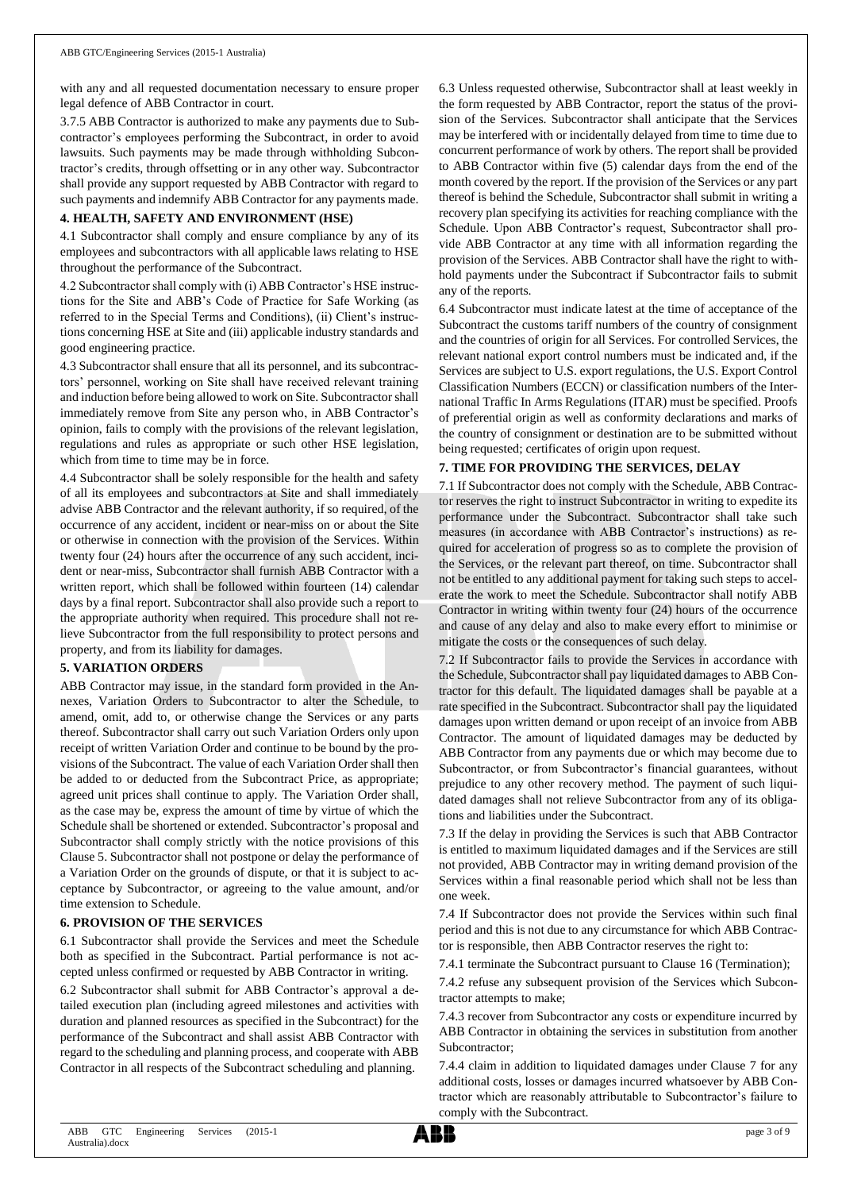with any and all requested documentation necessary to ensure proper legal defence of ABB Contractor in court.

3.7.5 ABB Contractor is authorized to make any payments due to Subcontractor's employees performing the Subcontract, in order to avoid lawsuits. Such payments may be made through withholding Subcontractor's credits, through offsetting or in any other way. Subcontractor shall provide any support requested by ABB Contractor with regard to such payments and indemnify ABB Contractor for any payments made.

### **4. HEALTH, SAFETY AND ENVIRONMENT (HSE)**

4.1 Subcontractor shall comply and ensure compliance by any of its employees and subcontractors with all applicable laws relating to HSE throughout the performance of the Subcontract.

4.2 Subcontractor shall comply with (i) ABB Contractor's HSE instructions for the Site and ABB's Code of Practice for Safe Working (as referred to in the Special Terms and Conditions), (ii) Client's instructions concerning HSE at Site and (iii) applicable industry standards and good engineering practice.

4.3 Subcontractor shall ensure that all its personnel, and its subcontractors' personnel, working on Site shall have received relevant training and induction before being allowed to work on Site. Subcontractor shall immediately remove from Site any person who, in ABB Contractor's opinion, fails to comply with the provisions of the relevant legislation, regulations and rules as appropriate or such other HSE legislation, which from time to time may be in force.

4.4 Subcontractor shall be solely responsible for the health and safety of all its employees and subcontractors at Site and shall immediately advise ABB Contractor and the relevant authority, if so required, of the occurrence of any accident, incident or near-miss on or about the Site or otherwise in connection with the provision of the Services. Within twenty four (24) hours after the occurrence of any such accident, incident or near-miss, Subcontractor shall furnish ABB Contractor with a written report, which shall be followed within fourteen (14) calendar days by a final report. Subcontractor shall also provide such a report to the appropriate authority when required. This procedure shall not relieve Subcontractor from the full responsibility to protect persons and property, and from its liability for damages.

# **5. VARIATION ORDERS**

ABB Contractor may issue, in the standard form provided in the Annexes, Variation Orders to Subcontractor to alter the Schedule, to amend, omit, add to, or otherwise change the Services or any parts thereof. Subcontractor shall carry out such Variation Orders only upon receipt of written Variation Order and continue to be bound by the provisions of the Subcontract. The value of each Variation Order shall then be added to or deducted from the Subcontract Price, as appropriate; agreed unit prices shall continue to apply. The Variation Order shall, as the case may be, express the amount of time by virtue of which the Schedule shall be shortened or extended. Subcontractor's proposal and Subcontractor shall comply strictly with the notice provisions of this Clause 5. Subcontractor shall not postpone or delay the performance of a Variation Order on the grounds of dispute, or that it is subject to acceptance by Subcontractor, or agreeing to the value amount, and/or time extension to Schedule.

## **6. PROVISION OF THE SERVICES**

6.1 Subcontractor shall provide the Services and meet the Schedule both as specified in the Subcontract. Partial performance is not accepted unless confirmed or requested by ABB Contractor in writing.

6.2 Subcontractor shall submit for ABB Contractor's approval a detailed execution plan (including agreed milestones and activities with duration and planned resources as specified in the Subcontract) for the performance of the Subcontract and shall assist ABB Contractor with regard to the scheduling and planning process, and cooperate with ABB Contractor in all respects of the Subcontract scheduling and planning.

6.3 Unless requested otherwise, Subcontractor shall at least weekly in the form requested by ABB Contractor, report the status of the provision of the Services. Subcontractor shall anticipate that the Services may be interfered with or incidentally delayed from time to time due to concurrent performance of work by others. The report shall be provided to ABB Contractor within five (5) calendar days from the end of the month covered by the report. If the provision of the Services or any part thereof is behind the Schedule, Subcontractor shall submit in writing a recovery plan specifying its activities for reaching compliance with the Schedule. Upon ABB Contractor's request, Subcontractor shall provide ABB Contractor at any time with all information regarding the provision of the Services. ABB Contractor shall have the right to withhold payments under the Subcontract if Subcontractor fails to submit any of the reports.

6.4 Subcontractor must indicate latest at the time of acceptance of the Subcontract the customs tariff numbers of the country of consignment and the countries of origin for all Services. For controlled Services, the relevant national export control numbers must be indicated and, if the Services are subject to U.S. export regulations, the U.S. Export Control Classification Numbers (ECCN) or classification numbers of the International Traffic In Arms Regulations (ITAR) must be specified. Proofs of preferential origin as well as conformity declarations and marks of the country of consignment or destination are to be submitted without being requested; certificates of origin upon request.

## **7. TIME FOR PROVIDING THE SERVICES, DELAY**

7.1 If Subcontractor does not comply with the Schedule, ABB Contractor reserves the right to instruct Subcontractor in writing to expedite its performance under the Subcontract. Subcontractor shall take such measures (in accordance with ABB Contractor's instructions) as required for acceleration of progress so as to complete the provision of the Services, or the relevant part thereof, on time. Subcontractor shall not be entitled to any additional payment for taking such steps to accelerate the work to meet the Schedule. Subcontractor shall notify ABB Contractor in writing within twenty four (24) hours of the occurrence and cause of any delay and also to make every effort to minimise or mitigate the costs or the consequences of such delay.

7.2 If Subcontractor fails to provide the Services in accordance with the Schedule, Subcontractor shall pay liquidated damages to ABB Contractor for this default. The liquidated damages shall be payable at a rate specified in the Subcontract. Subcontractor shall pay the liquidated damages upon written demand or upon receipt of an invoice from ABB Contractor. The amount of liquidated damages may be deducted by ABB Contractor from any payments due or which may become due to Subcontractor, or from Subcontractor's financial guarantees, without prejudice to any other recovery method. The payment of such liquidated damages shall not relieve Subcontractor from any of its obligations and liabilities under the Subcontract.

7.3 If the delay in providing the Services is such that ABB Contractor is entitled to maximum liquidated damages and if the Services are still not provided, ABB Contractor may in writing demand provision of the Services within a final reasonable period which shall not be less than one week.

7.4 If Subcontractor does not provide the Services within such final period and this is not due to any circumstance for which ABB Contractor is responsible, then ABB Contractor reserves the right to:

7.4.1 terminate the Subcontract pursuant to Clause 16 (Termination); 7.4.2 refuse any subsequent provision of the Services which Subcontractor attempts to make;

7.4.3 recover from Subcontractor any costs or expenditure incurred by ABB Contractor in obtaining the services in substitution from another Subcontractor;

7.4.4 claim in addition to liquidated damages under Clause 7 for any additional costs, losses or damages incurred whatsoever by ABB Contractor which are reasonably attributable to Subcontractor's failure to comply with the Subcontract.

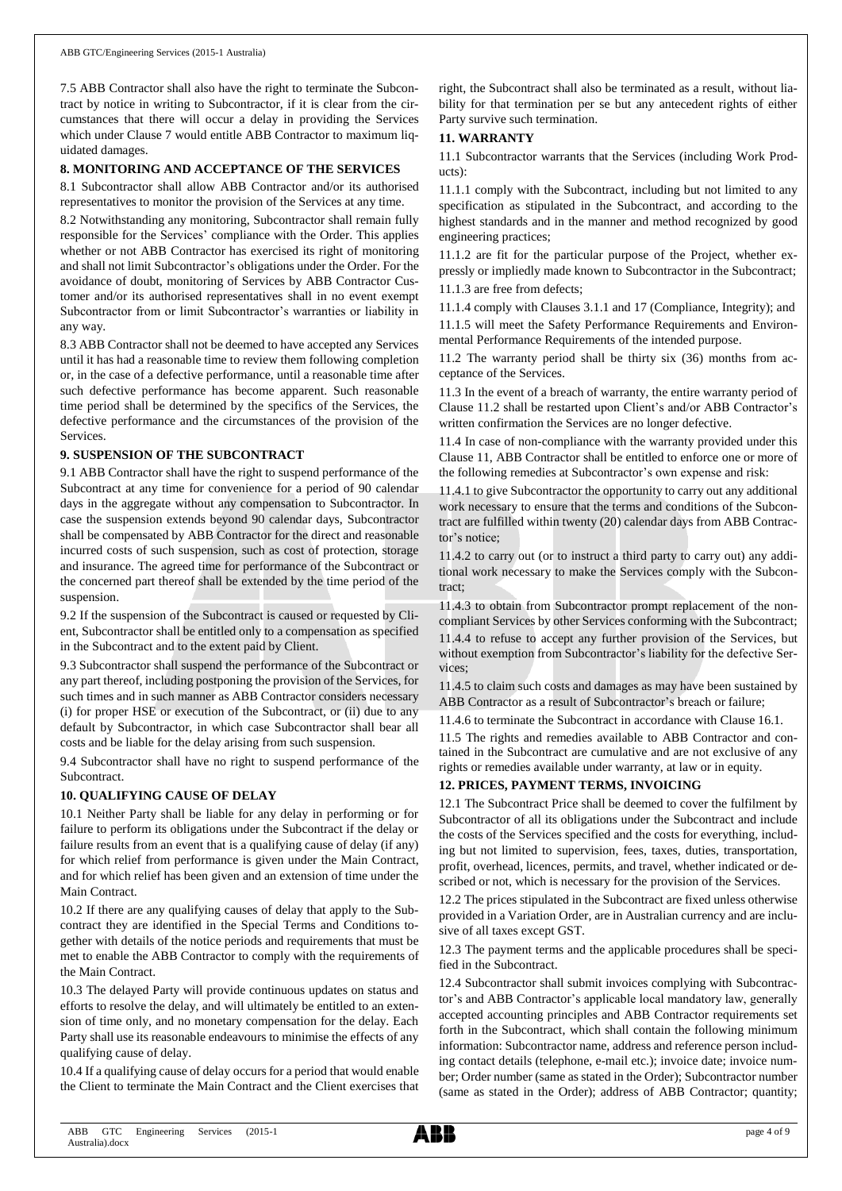7.5 ABB Contractor shall also have the right to terminate the Subcontract by notice in writing to Subcontractor, if it is clear from the circumstances that there will occur a delay in providing the Services which under Clause 7 would entitle ABB Contractor to maximum liquidated damages.

### **8. MONITORING AND ACCEPTANCE OF THE SERVICES**

8.1 Subcontractor shall allow ABB Contractor and/or its authorised representatives to monitor the provision of the Services at any time.

8.2 Notwithstanding any monitoring, Subcontractor shall remain fully responsible for the Services' compliance with the Order. This applies whether or not ABB Contractor has exercised its right of monitoring and shall not limit Subcontractor's obligations under the Order. For the avoidance of doubt, monitoring of Services by ABB Contractor Customer and/or its authorised representatives shall in no event exempt Subcontractor from or limit Subcontractor's warranties or liability in any way.

8.3 ABB Contractor shall not be deemed to have accepted any Services until it has had a reasonable time to review them following completion or, in the case of a defective performance, until a reasonable time after such defective performance has become apparent. Such reasonable time period shall be determined by the specifics of the Services, the defective performance and the circumstances of the provision of the Services.

#### **9. SUSPENSION OF THE SUBCONTRACT**

9.1 ABB Contractor shall have the right to suspend performance of the Subcontract at any time for convenience for a period of 90 calendar days in the aggregate without any compensation to Subcontractor. In case the suspension extends beyond 90 calendar days, Subcontractor shall be compensated by ABB Contractor for the direct and reasonable incurred costs of such suspension, such as cost of protection, storage and insurance. The agreed time for performance of the Subcontract or the concerned part thereof shall be extended by the time period of the suspension.

9.2 If the suspension of the Subcontract is caused or requested by Client, Subcontractor shall be entitled only to a compensation as specified in the Subcontract and to the extent paid by Client.

9.3 Subcontractor shall suspend the performance of the Subcontract or any part thereof, including postponing the provision of the Services, for such times and in such manner as ABB Contractor considers necessary (i) for proper HSE or execution of the Subcontract, or (ii) due to any default by Subcontractor, in which case Subcontractor shall bear all costs and be liable for the delay arising from such suspension.

9.4 Subcontractor shall have no right to suspend performance of the Subcontract.

# **10. QUALIFYING CAUSE OF DELAY**

10.1 Neither Party shall be liable for any delay in performing or for failure to perform its obligations under the Subcontract if the delay or failure results from an event that is a qualifying cause of delay (if any) for which relief from performance is given under the Main Contract, and for which relief has been given and an extension of time under the Main Contract.

10.2 If there are any qualifying causes of delay that apply to the Subcontract they are identified in the Special Terms and Conditions together with details of the notice periods and requirements that must be met to enable the ABB Contractor to comply with the requirements of the Main Contract.

10.3 The delayed Party will provide continuous updates on status and efforts to resolve the delay, and will ultimately be entitled to an extension of time only, and no monetary compensation for the delay. Each Party shall use its reasonable endeavours to minimise the effects of any qualifying cause of delay.

10.4 If a qualifying cause of delay occurs for a period that would enable the Client to terminate the Main Contract and the Client exercises that right, the Subcontract shall also be terminated as a result, without liability for that termination per se but any antecedent rights of either Party survive such termination.

#### **11. WARRANTY**

11.1 Subcontractor warrants that the Services (including Work Products):

11.1.1 comply with the Subcontract, including but not limited to any specification as stipulated in the Subcontract, and according to the highest standards and in the manner and method recognized by good engineering practices;

11.1.2 are fit for the particular purpose of the Project, whether expressly or impliedly made known to Subcontractor in the Subcontract;

11.1.3 are free from defects;

11.1.4 comply with Clauses 3.1.1 and 17 (Compliance, Integrity); and 11.1.5 will meet the Safety Performance Requirements and Environmental Performance Requirements of the intended purpose.

11.2 The warranty period shall be thirty six (36) months from acceptance of the Services.

11.3 In the event of a breach of warranty, the entire warranty period of Clause 11.2 shall be restarted upon Client's and/or ABB Contractor's written confirmation the Services are no longer defective.

11.4 In case of non-compliance with the warranty provided under this Clause 11, ABB Contractor shall be entitled to enforce one or more of the following remedies at Subcontractor's own expense and risk:

11.4.1 to give Subcontractor the opportunity to carry out any additional work necessary to ensure that the terms and conditions of the Subcontract are fulfilled within twenty (20) calendar days from ABB Contractor's notice;

11.4.2 to carry out (or to instruct a third party to carry out) any additional work necessary to make the Services comply with the Subcontract;

11.4.3 to obtain from Subcontractor prompt replacement of the noncompliant Services by other Services conforming with the Subcontract; 11.4.4 to refuse to accept any further provision of the Services, but without exemption from Subcontractor's liability for the defective Services;

11.4.5 to claim such costs and damages as may have been sustained by ABB Contractor as a result of Subcontractor's breach or failure;

11.4.6 to terminate the Subcontract in accordance with Clause 16.1.

11.5 The rights and remedies available to ABB Contractor and contained in the Subcontract are cumulative and are not exclusive of any rights or remedies available under warranty, at law or in equity.

# **12. PRICES, PAYMENT TERMS, INVOICING**

12.1 The Subcontract Price shall be deemed to cover the fulfilment by Subcontractor of all its obligations under the Subcontract and include the costs of the Services specified and the costs for everything, including but not limited to supervision, fees, taxes, duties, transportation, profit, overhead, licences, permits, and travel, whether indicated or described or not, which is necessary for the provision of the Services.

12.2 The prices stipulated in the Subcontract are fixed unless otherwise provided in a Variation Order, are in Australian currency and are inclusive of all taxes except GST.

12.3 The payment terms and the applicable procedures shall be specified in the Subcontract.

12.4 Subcontractor shall submit invoices complying with Subcontractor's and ABB Contractor's applicable local mandatory law, generally accepted accounting principles and ABB Contractor requirements set forth in the Subcontract, which shall contain the following minimum information: Subcontractor name, address and reference person including contact details (telephone, e-mail etc.); invoice date; invoice number; Order number (same as stated in the Order); Subcontractor number (same as stated in the Order); address of ABB Contractor; quantity;

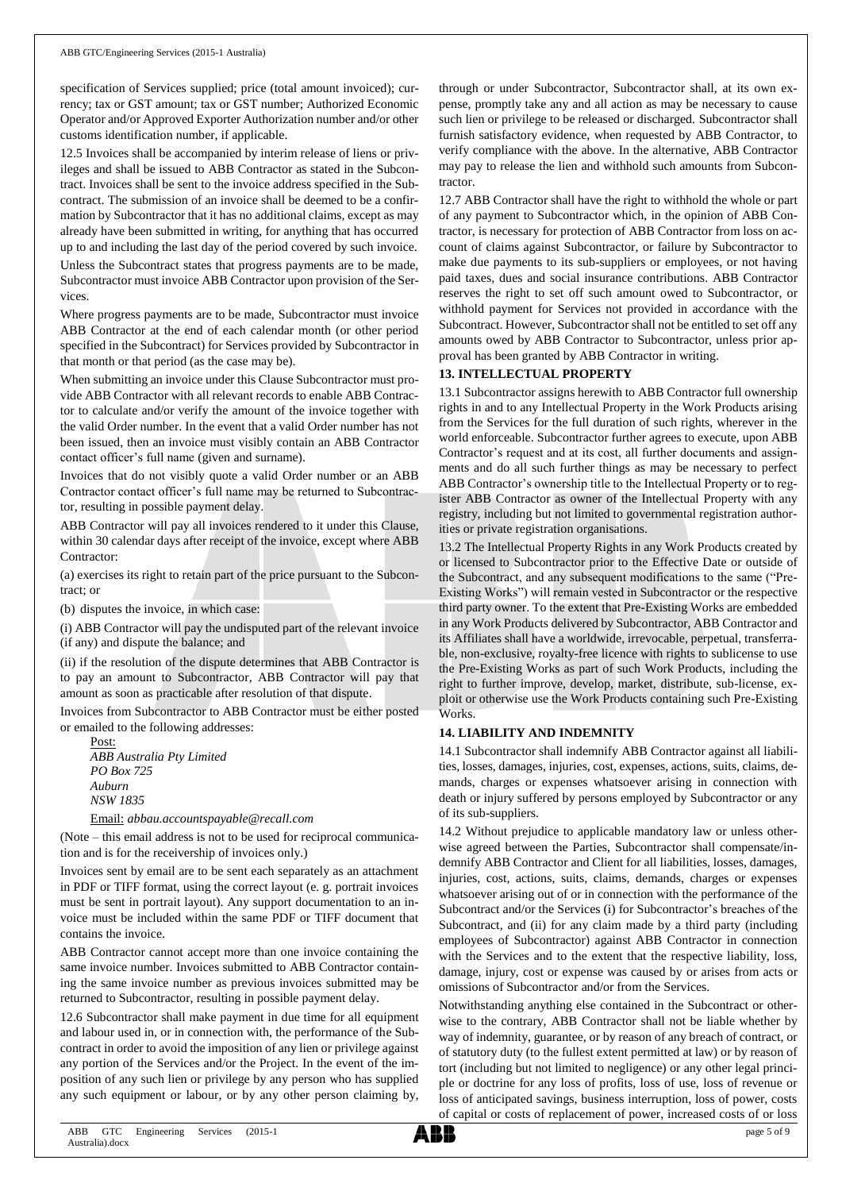specification of Services supplied; price (total amount invoiced); currency; tax or GST amount; tax or GST number; Authorized Economic Operator and/or Approved Exporter Authorization number and/or other customs identification number, if applicable.

12.5 Invoices shall be accompanied by interim release of liens or privileges and shall be issued to ABB Contractor as stated in the Subcontract. Invoices shall be sent to the invoice address specified in the Subcontract. The submission of an invoice shall be deemed to be a confirmation by Subcontractor that it has no additional claims, except as may already have been submitted in writing, for anything that has occurred up to and including the last day of the period covered by such invoice. Unless the Subcontract states that progress payments are to be made, Subcontractor must invoice ABB Contractor upon provision of the Services.

Where progress payments are to be made, Subcontractor must invoice ABB Contractor at the end of each calendar month (or other period specified in the Subcontract) for Services provided by Subcontractor in that month or that period (as the case may be).

When submitting an invoice under this Clause Subcontractor must provide ABB Contractor with all relevant records to enable ABB Contractor to calculate and/or verify the amount of the invoice together with the valid Order number. In the event that a valid Order number has not been issued, then an invoice must visibly contain an ABB Contractor contact officer's full name (given and surname).

Invoices that do not visibly quote a valid Order number or an ABB Contractor contact officer's full name may be returned to Subcontractor, resulting in possible payment delay.

ABB Contractor will pay all invoices rendered to it under this Clause, within 30 calendar days after receipt of the invoice, except where ABB Contractor:

(a) exercises its right to retain part of the price pursuant to the Subcontract; or

(b) disputes the invoice, in which case:

(i) ABB Contractor will pay the undisputed part of the relevant invoice (if any) and dispute the balance; and

(ii) if the resolution of the dispute determines that ABB Contractor is to pay an amount to Subcontractor, ABB Contractor will pay that amount as soon as practicable after resolution of that dispute.

Invoices from Subcontractor to ABB Contractor must be either posted or emailed to the following addresses:

Post: *ABB Australia Pty Limited PO Box 725 Auburn NSW 1835*

Email: *[abbau.accountspayable@recall.com](mailto:abbau.accountspayable@recall.com)*

(Note – this email address is not to be used for reciprocal communication and is for the receivership of invoices only.)

Invoices sent by email are to be sent each separately as an attachment in PDF or TIFF format, using the correct layout (e. g. portrait invoices must be sent in portrait layout). Any support documentation to an invoice must be included within the same PDF or TIFF document that contains the invoice.

ABB Contractor cannot accept more than one invoice containing the same invoice number. Invoices submitted to ABB Contractor containing the same invoice number as previous invoices submitted may be returned to Subcontractor, resulting in possible payment delay.

12.6 Subcontractor shall make payment in due time for all equipment and labour used in, or in connection with, the performance of the Subcontract in order to avoid the imposition of any lien or privilege against any portion of the Services and/or the Project. In the event of the imposition of any such lien or privilege by any person who has supplied any such equipment or labour, or by any other person claiming by,

ABB GTC Engineering Services (2015-1 Australia).docx



through or under Subcontractor, Subcontractor shall, at its own expense, promptly take any and all action as may be necessary to cause such lien or privilege to be released or discharged. Subcontractor shall furnish satisfactory evidence, when requested by ABB Contractor, to verify compliance with the above. In the alternative, ABB Contractor may pay to release the lien and withhold such amounts from Subcontractor.

12.7 ABB Contractor shall have the right to withhold the whole or part of any payment to Subcontractor which, in the opinion of ABB Contractor, is necessary for protection of ABB Contractor from loss on account of claims against Subcontractor, or failure by Subcontractor to make due payments to its sub-suppliers or employees, or not having paid taxes, dues and social insurance contributions. ABB Contractor reserves the right to set off such amount owed to Subcontractor, or withhold payment for Services not provided in accordance with the Subcontract. However, Subcontractor shall not be entitled to set off any amounts owed by ABB Contractor to Subcontractor, unless prior approval has been granted by ABB Contractor in writing.

# **13. INTELLECTUAL PROPERTY**

13.1 Subcontractor assigns herewith to ABB Contractor full ownership rights in and to any Intellectual Property in the Work Products arising from the Services for the full duration of such rights, wherever in the world enforceable. Subcontractor further agrees to execute, upon ABB Contractor's request and at its cost, all further documents and assignments and do all such further things as may be necessary to perfect ABB Contractor's ownership title to the Intellectual Property or to register ABB Contractor as owner of the Intellectual Property with any registry, including but not limited to governmental registration authorities or private registration organisations.

13.2 The Intellectual Property Rights in any Work Products created by or licensed to Subcontractor prior to the Effective Date or outside of the Subcontract, and any subsequent modifications to the same ("Pre-Existing Works") will remain vested in Subcontractor or the respective third party owner. To the extent that Pre-Existing Works are embedded in any Work Products delivered by Subcontractor, ABB Contractor and its Affiliates shall have a worldwide, irrevocable, perpetual, transferrable, non-exclusive, royalty-free licence with rights to sublicense to use the Pre-Existing Works as part of such Work Products, including the right to further improve, develop, market, distribute, sub-license, exploit or otherwise use the Work Products containing such Pre-Existing **Works** 

# **14. LIABILITY AND INDEMNITY**

14.1 Subcontractor shall indemnify ABB Contractor against all liabilities, losses, damages, injuries, cost, expenses, actions, suits, claims, demands, charges or expenses whatsoever arising in connection with death or injury suffered by persons employed by Subcontractor or any of its sub-suppliers.

14.2 Without prejudice to applicable mandatory law or unless otherwise agreed between the Parties, Subcontractor shall compensate/indemnify ABB Contractor and Client for all liabilities, losses, damages, injuries, cost, actions, suits, claims, demands, charges or expenses whatsoever arising out of or in connection with the performance of the Subcontract and/or the Services (i) for Subcontractor's breaches of the Subcontract, and (ii) for any claim made by a third party (including employees of Subcontractor) against ABB Contractor in connection with the Services and to the extent that the respective liability, loss, damage, injury, cost or expense was caused by or arises from acts or omissions of Subcontractor and/or from the Services.

Notwithstanding anything else contained in the Subcontract or otherwise to the contrary, ABB Contractor shall not be liable whether by way of indemnity, guarantee, or by reason of any breach of contract, or of statutory duty (to the fullest extent permitted at law) or by reason of tort (including but not limited to negligence) or any other legal principle or doctrine for any loss of profits, loss of use, loss of revenue or loss of anticipated savings, business interruption, loss of power, costs of capital or costs of replacement of power, increased costs of or loss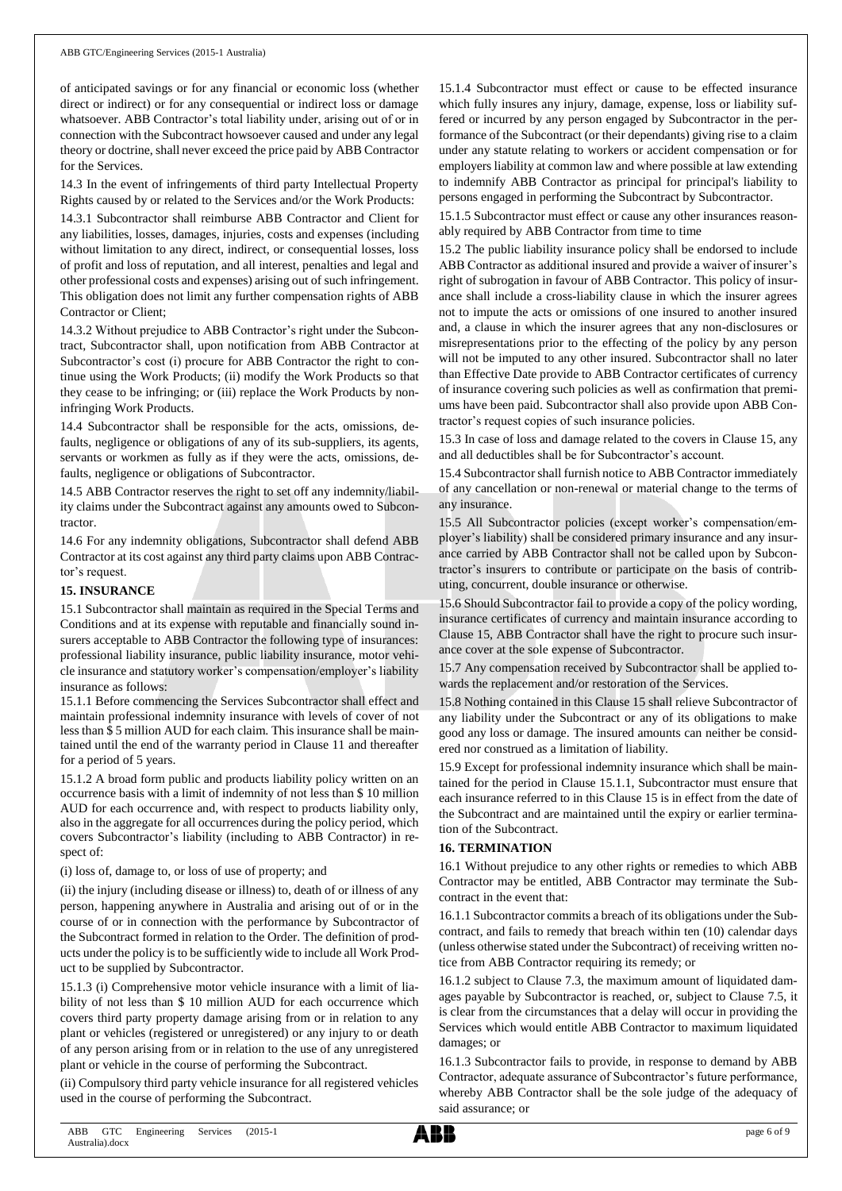of anticipated savings or for any financial or economic loss (whether direct or indirect) or for any consequential or indirect loss or damage whatsoever. ABB Contractor's total liability under, arising out of or in connection with the Subcontract howsoever caused and under any legal theory or doctrine, shall never exceed the price paid by ABB Contractor for the Services.

14.3 In the event of infringements of third party Intellectual Property Rights caused by or related to the Services and/or the Work Products:

14.3.1 Subcontractor shall reimburse ABB Contractor and Client for any liabilities, losses, damages, injuries, costs and expenses (including without limitation to any direct, indirect, or consequential losses, loss of profit and loss of reputation, and all interest, penalties and legal and other professional costs and expenses) arising out of such infringement. This obligation does not limit any further compensation rights of ABB Contractor or Client;

14.3.2 Without prejudice to ABB Contractor's right under the Subcontract, Subcontractor shall, upon notification from ABB Contractor at Subcontractor's cost (i) procure for ABB Contractor the right to continue using the Work Products; (ii) modify the Work Products so that they cease to be infringing; or (iii) replace the Work Products by noninfringing Work Products.

14.4 Subcontractor shall be responsible for the acts, omissions, defaults, negligence or obligations of any of its sub-suppliers, its agents, servants or workmen as fully as if they were the acts, omissions, defaults, negligence or obligations of Subcontractor.

14.5 ABB Contractor reserves the right to set off any indemnity/liability claims under the Subcontract against any amounts owed to Subcontractor.

14.6 For any indemnity obligations, Subcontractor shall defend ABB Contractor at its cost against any third party claims upon ABB Contractor's request.

#### **15. INSURANCE**

15.1 Subcontractor shall maintain as required in the Special Terms and Conditions and at its expense with reputable and financially sound insurers acceptable to ABB Contractor the following type of insurances: professional liability insurance, public liability insurance, motor vehicle insurance and statutory worker's compensation/employer's liability insurance as follows:

15.1.1 Before commencing the Services Subcontractor shall effect and maintain professional indemnity insurance with levels of cover of not less than \$ 5 million AUD for each claim. This insurance shall be maintained until the end of the warranty period in Clause 11 and thereafter for a period of 5 years.

15.1.2 A broad form public and products liability policy written on an occurrence basis with a limit of indemnity of not less than \$ 10 million AUD for each occurrence and, with respect to products liability only, also in the aggregate for all occurrences during the policy period, which covers Subcontractor's liability (including to ABB Contractor) in respect of:

(i) loss of, damage to, or loss of use of property; and

(ii) the injury (including disease or illness) to, death of or illness of any person, happening anywhere in Australia and arising out of or in the course of or in connection with the performance by Subcontractor of the Subcontract formed in relation to the Order. The definition of products under the policy is to be sufficiently wide to include all Work Product to be supplied by Subcontractor.

15.1.3 (i) Comprehensive motor vehicle insurance with a limit of liability of not less than \$ 10 million AUD for each occurrence which covers third party property damage arising from or in relation to any plant or vehicles (registered or unregistered) or any injury to or death of any person arising from or in relation to the use of any unregistered plant or vehicle in the course of performing the Subcontract.

(ii) Compulsory third party vehicle insurance for all registered vehicles used in the course of performing the Subcontract.

15.1.4 Subcontractor must effect or cause to be effected insurance which fully insures any injury, damage, expense, loss or liability suffered or incurred by any person engaged by Subcontractor in the performance of the Subcontract (or their dependants) giving rise to a claim under any statute relating to workers or accident compensation or for employers liability at common law and where possible at law extending to indemnify ABB Contractor as principal for principal's liability to persons engaged in performing the Subcontract by Subcontractor.

15.1.5 Subcontractor must effect or cause any other insurances reasonably required by ABB Contractor from time to time

15.2 The public liability insurance policy shall be endorsed to include ABB Contractor as additional insured and provide a waiver of insurer's right of subrogation in favour of ABB Contractor. This policy of insurance shall include a cross-liability clause in which the insurer agrees not to impute the acts or omissions of one insured to another insured and, a clause in which the insurer agrees that any non-disclosures or misrepresentations prior to the effecting of the policy by any person will not be imputed to any other insured. Subcontractor shall no later than Effective Date provide to ABB Contractor certificates of currency of insurance covering such policies as well as confirmation that premiums have been paid. Subcontractor shall also provide upon ABB Contractor's request copies of such insurance policies.

15.3 In case of loss and damage related to the covers in Clause 15, any and all deductibles shall be for Subcontractor's account.

15.4 Subcontractor shall furnish notice to ABB Contractor immediately of any cancellation or non-renewal or material change to the terms of any insurance.

15.5 All Subcontractor policies (except worker's compensation/employer's liability) shall be considered primary insurance and any insurance carried by ABB Contractor shall not be called upon by Subcontractor's insurers to contribute or participate on the basis of contributing, concurrent, double insurance or otherwise.

15.6 Should Subcontractor fail to provide a copy of the policy wording, insurance certificates of currency and maintain insurance according to Clause 15, ABB Contractor shall have the right to procure such insurance cover at the sole expense of Subcontractor.

15.7 Any compensation received by Subcontractor shall be applied towards the replacement and/or restoration of the Services.

15.8 Nothing contained in this Clause 15 shall relieve Subcontractor of any liability under the Subcontract or any of its obligations to make good any loss or damage. The insured amounts can neither be considered nor construed as a limitation of liability.

15.9 Except for professional indemnity insurance which shall be maintained for the period in Clause 15.1.1, Subcontractor must ensure that each insurance referred to in this Clause 15 is in effect from the date of the Subcontract and are maintained until the expiry or earlier termination of the Subcontract.

# **16. TERMINATION**

16.1 Without prejudice to any other rights or remedies to which ABB Contractor may be entitled, ABB Contractor may terminate the Subcontract in the event that:

16.1.1 Subcontractor commits a breach of its obligations under the Subcontract, and fails to remedy that breach within ten (10) calendar days (unless otherwise stated under the Subcontract) of receiving written notice from ABB Contractor requiring its remedy; or

16.1.2 subject to Clause 7.3, the maximum amount of liquidated damages payable by Subcontractor is reached, or, subject to Clause 7.5, it is clear from the circumstances that a delay will occur in providing the Services which would entitle ABB Contractor to maximum liquidated damages; or

16.1.3 Subcontractor fails to provide, in response to demand by ABB Contractor, adequate assurance of Subcontractor's future performance, whereby ABB Contractor shall be the sole judge of the adequacy of said assurance; or

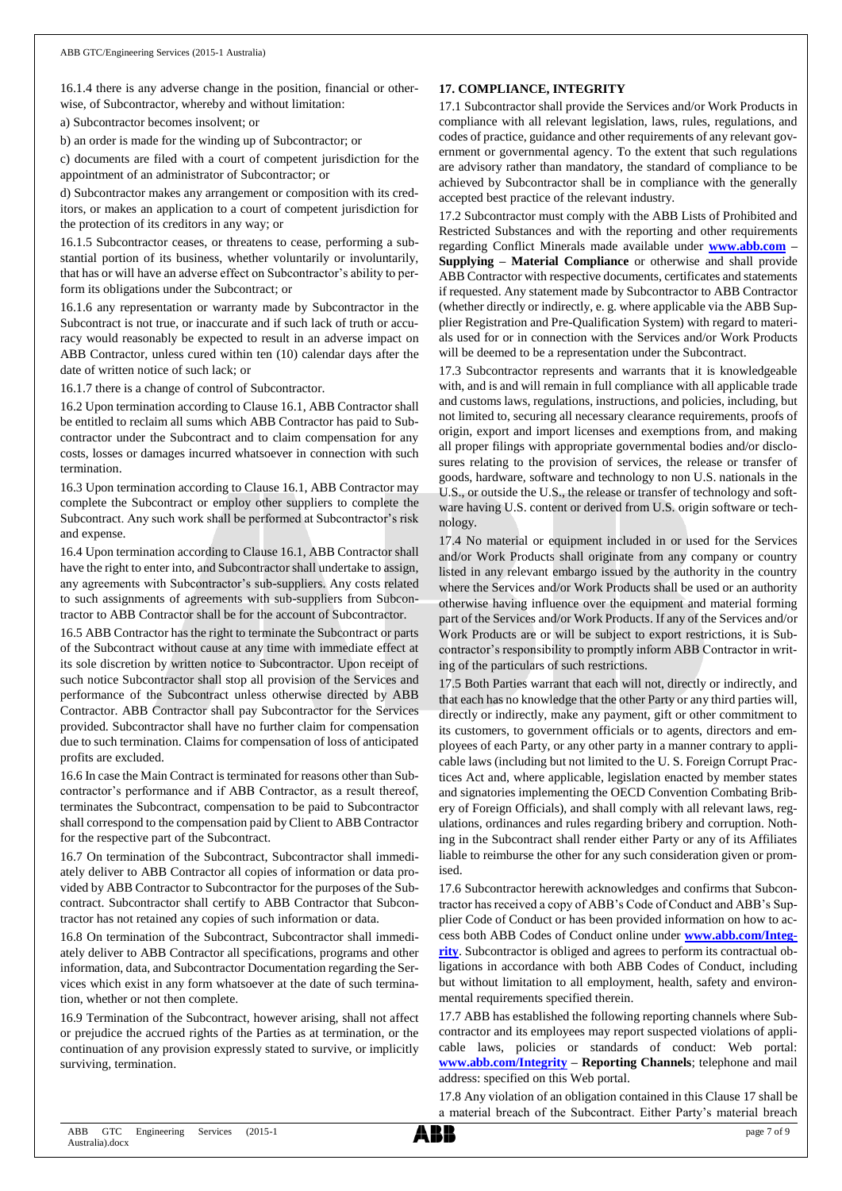16.1.4 there is any adverse change in the position, financial or otherwise, of Subcontractor, whereby and without limitation:

a) Subcontractor becomes insolvent; or

b) an order is made for the winding up of Subcontractor; or

c) documents are filed with a court of competent jurisdiction for the appointment of an administrator of Subcontractor; or

d) Subcontractor makes any arrangement or composition with its creditors, or makes an application to a court of competent jurisdiction for the protection of its creditors in any way; or

16.1.5 Subcontractor ceases, or threatens to cease, performing a substantial portion of its business, whether voluntarily or involuntarily, that has or will have an adverse effect on Subcontractor's ability to perform its obligations under the Subcontract; or

16.1.6 any representation or warranty made by Subcontractor in the Subcontract is not true, or inaccurate and if such lack of truth or accuracy would reasonably be expected to result in an adverse impact on ABB Contractor, unless cured within ten (10) calendar days after the date of written notice of such lack; or

16.1.7 there is a change of control of Subcontractor.

16.2 Upon termination according to Clause 16.1, ABB Contractor shall be entitled to reclaim all sums which ABB Contractor has paid to Subcontractor under the Subcontract and to claim compensation for any costs, losses or damages incurred whatsoever in connection with such termination.

16.3 Upon termination according to Clause 16.1, ABB Contractor may complete the Subcontract or employ other suppliers to complete the Subcontract. Any such work shall be performed at Subcontractor's risk and expense.

16.4 Upon termination according to Clause 16.1, ABB Contractor shall have the right to enter into, and Subcontractor shall undertake to assign, any agreements with Subcontractor's sub-suppliers. Any costs related to such assignments of agreements with sub-suppliers from Subcontractor to ABB Contractor shall be for the account of Subcontractor.

16.5 ABB Contractor has the right to terminate the Subcontract or parts of the Subcontract without cause at any time with immediate effect at its sole discretion by written notice to Subcontractor. Upon receipt of such notice Subcontractor shall stop all provision of the Services and performance of the Subcontract unless otherwise directed by ABB Contractor. ABB Contractor shall pay Subcontractor for the Services provided. Subcontractor shall have no further claim for compensation due to such termination. Claims for compensation of loss of anticipated profits are excluded.

16.6 In case the Main Contract is terminated for reasons other than Subcontractor's performance and if ABB Contractor, as a result thereof, terminates the Subcontract, compensation to be paid to Subcontractor shall correspond to the compensation paid by Client to ABB Contractor for the respective part of the Subcontract.

16.7 On termination of the Subcontract, Subcontractor shall immediately deliver to ABB Contractor all copies of information or data provided by ABB Contractor to Subcontractor for the purposes of the Subcontract. Subcontractor shall certify to ABB Contractor that Subcontractor has not retained any copies of such information or data.

16.8 On termination of the Subcontract, Subcontractor shall immediately deliver to ABB Contractor all specifications, programs and other information, data, and Subcontractor Documentation regarding the Services which exist in any form whatsoever at the date of such termination, whether or not then complete.

16.9 Termination of the Subcontract, however arising, shall not affect or prejudice the accrued rights of the Parties as at termination, or the continuation of any provision expressly stated to survive, or implicitly surviving, termination.

#### **17. COMPLIANCE, INTEGRITY**

17.1 Subcontractor shall provide the Services and/or Work Products in compliance with all relevant legislation, laws, rules, regulations, and codes of practice, guidance and other requirements of any relevant government or governmental agency. To the extent that such regulations are advisory rather than mandatory, the standard of compliance to be achieved by Subcontractor shall be in compliance with the generally accepted best practice of the relevant industry.

17.2 Subcontractor must comply with the ABB Lists of Prohibited and Restricted Substances and with the reporting and other requirements regarding Conflict Minerals made available under **[www.abb.com](http://www.abb.com/) – Supplying – Material Compliance** or otherwise and shall provide ABB Contractor with respective documents, certificates and statements if requested. Any statement made by Subcontractor to ABB Contractor (whether directly or indirectly, e. g. where applicable via the ABB Supplier Registration and Pre-Qualification System) with regard to materials used for or in connection with the Services and/or Work Products will be deemed to be a representation under the Subcontract.

17.3 Subcontractor represents and warrants that it is knowledgeable with, and is and will remain in full compliance with all applicable trade and customs laws, regulations, instructions, and policies, including, but not limited to, securing all necessary clearance requirements, proofs of origin, export and import licenses and exemptions from, and making all proper filings with appropriate governmental bodies and/or disclosures relating to the provision of services, the release or transfer of goods, hardware, software and technology to non U.S. nationals in the U.S., or outside the U.S., the release or transfer of technology and software having U.S. content or derived from U.S. origin software or technology.

17.4 No material or equipment included in or used for the Services and/or Work Products shall originate from any company or country listed in any relevant embargo issued by the authority in the country where the Services and/or Work Products shall be used or an authority otherwise having influence over the equipment and material forming part of the Services and/or Work Products. If any of the Services and/or Work Products are or will be subject to export restrictions, it is Subcontractor's responsibility to promptly inform ABB Contractor in writing of the particulars of such restrictions.

17.5 Both Parties warrant that each will not, directly or indirectly, and that each has no knowledge that the other Party or any third parties will, directly or indirectly, make any payment, gift or other commitment to its customers, to government officials or to agents, directors and employees of each Party, or any other party in a manner contrary to applicable laws (including but not limited to the U. S. Foreign Corrupt Practices Act and, where applicable, legislation enacted by member states and signatories implementing the OECD Convention Combating Bribery of Foreign Officials), and shall comply with all relevant laws, regulations, ordinances and rules regarding bribery and corruption. Nothing in the Subcontract shall render either Party or any of its Affiliates liable to reimburse the other for any such consideration given or promised.

17.6 Subcontractor herewith acknowledges and confirms that Subcontractor has received a copy of ABB's Code of Conduct and ABB's Supplier Code of Conduct or has been provided information on how to access both ABB Codes of Conduct online under **[www.abb.com/Integ](http://www.abb.com/Integrity)[rity](http://www.abb.com/Integrity)**. Subcontractor is obliged and agrees to perform its contractual obligations in accordance with both ABB Codes of Conduct, including but without limitation to all employment, health, safety and environmental requirements specified therein.

17.7 ABB has established the following reporting channels where Subcontractor and its employees may report suspected violations of applicable laws, policies or standards of conduct: Web portal: **[www.abb.com/Integrity](http://www.abb.com/Integrity) – Reporting Channels**; telephone and mail address: specified on this Web portal.

17.8 Any violation of an obligation contained in this Clause 17 shall be a material breach of the Subcontract. Either Party's material breach

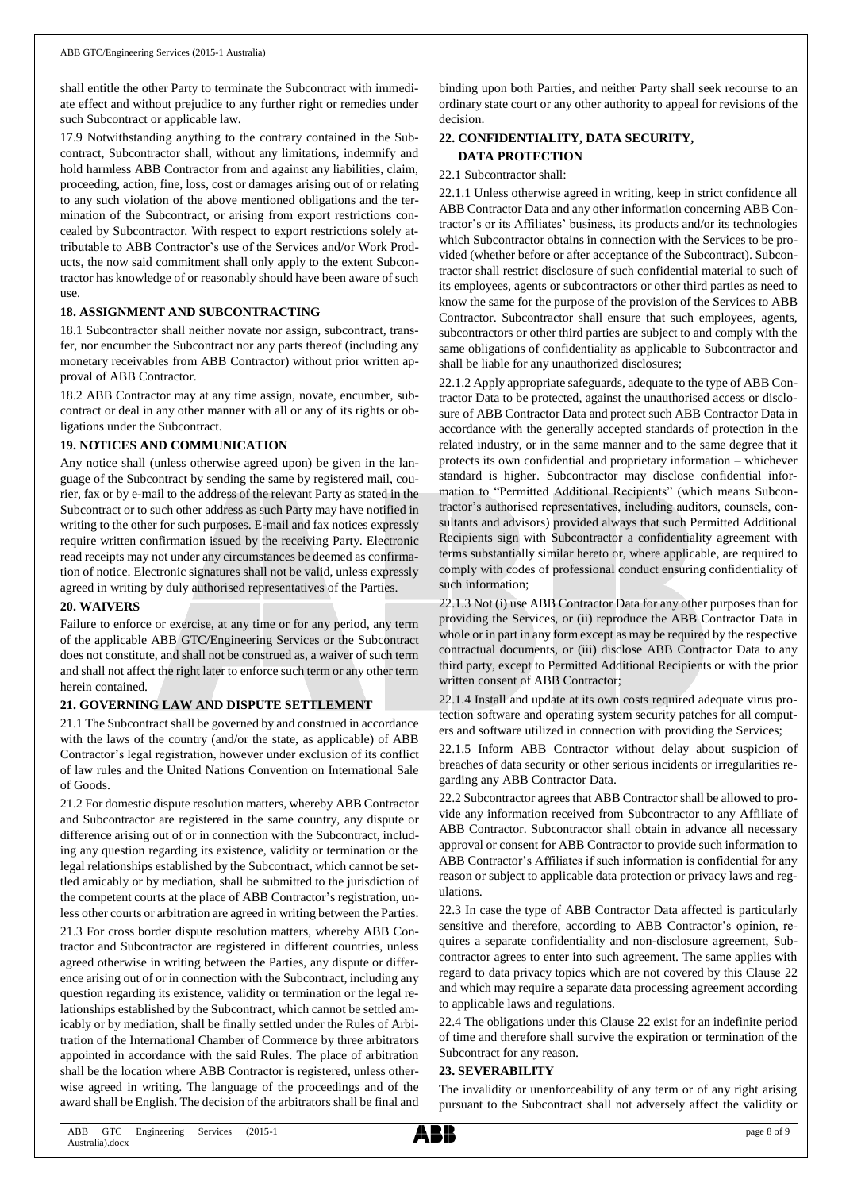shall entitle the other Party to terminate the Subcontract with immediate effect and without prejudice to any further right or remedies under such Subcontract or applicable law.

17.9 Notwithstanding anything to the contrary contained in the Subcontract, Subcontractor shall, without any limitations, indemnify and hold harmless ABB Contractor from and against any liabilities, claim, proceeding, action, fine, loss, cost or damages arising out of or relating to any such violation of the above mentioned obligations and the termination of the Subcontract, or arising from export restrictions concealed by Subcontractor. With respect to export restrictions solely attributable to ABB Contractor's use of the Services and/or Work Products, the now said commitment shall only apply to the extent Subcontractor has knowledge of or reasonably should have been aware of such use.

# **18. ASSIGNMENT AND SUBCONTRACTING**

18.1 Subcontractor shall neither novate nor assign, subcontract, transfer, nor encumber the Subcontract nor any parts thereof (including any monetary receivables from ABB Contractor) without prior written approval of ABB Contractor.

18.2 ABB Contractor may at any time assign, novate, encumber, subcontract or deal in any other manner with all or any of its rights or obligations under the Subcontract.

## **19. NOTICES AND COMMUNICATION**

Any notice shall (unless otherwise agreed upon) be given in the language of the Subcontract by sending the same by registered mail, courier, fax or by e-mail to the address of the relevant Party as stated in the Subcontract or to such other address as such Party may have notified in writing to the other for such purposes. E-mail and fax notices expressly require written confirmation issued by the receiving Party. Electronic read receipts may not under any circumstances be deemed as confirmation of notice. Electronic signatures shall not be valid, unless expressly agreed in writing by duly authorised representatives of the Parties.

## **20. WAIVERS**

Failure to enforce or exercise, at any time or for any period, any term of the applicable ABB GTC/Engineering Services or the Subcontract does not constitute, and shall not be construed as, a waiver of such term and shall not affect the right later to enforce such term or any other term herein contained.

## **21. GOVERNING LAW AND DISPUTE SETTLEMENT**

21.1 The Subcontract shall be governed by and construed in accordance with the laws of the country (and/or the state, as applicable) of ABB Contractor's legal registration, however under exclusion of its conflict of law rules and the United Nations Convention on International Sale of Goods.

21.2 For domestic dispute resolution matters, whereby ABB Contractor and Subcontractor are registered in the same country, any dispute or difference arising out of or in connection with the Subcontract, including any question regarding its existence, validity or termination or the legal relationships established by the Subcontract, which cannot be settled amicably or by mediation, shall be submitted to the jurisdiction of the competent courts at the place of ABB Contractor's registration, unless other courts or arbitration are agreed in writing between the Parties.

21.3 For cross border dispute resolution matters, whereby ABB Contractor and Subcontractor are registered in different countries, unless agreed otherwise in writing between the Parties, any dispute or difference arising out of or in connection with the Subcontract, including any question regarding its existence, validity or termination or the legal relationships established by the Subcontract, which cannot be settled amicably or by mediation, shall be finally settled under the Rules of Arbitration of the International Chamber of Commerce by three arbitrators appointed in accordance with the said Rules. The place of arbitration shall be the location where ABB Contractor is registered, unless otherwise agreed in writing. The language of the proceedings and of the award shall be English. The decision of the arbitrators shall be final and

binding upon both Parties, and neither Party shall seek recourse to an ordinary state court or any other authority to appeal for revisions of the decision.

# **22. CONFIDENTIALITY, DATA SECURITY, DATA PROTECTION**

### 22.1 Subcontractor shall:

22.1.1 Unless otherwise agreed in writing, keep in strict confidence all ABB Contractor Data and any other information concerning ABB Contractor's or its Affiliates' business, its products and/or its technologies which Subcontractor obtains in connection with the Services to be provided (whether before or after acceptance of the Subcontract). Subcontractor shall restrict disclosure of such confidential material to such of its employees, agents or subcontractors or other third parties as need to know the same for the purpose of the provision of the Services to ABB Contractor. Subcontractor shall ensure that such employees, agents, subcontractors or other third parties are subject to and comply with the same obligations of confidentiality as applicable to Subcontractor and shall be liable for any unauthorized disclosures;

22.1.2 Apply appropriate safeguards, adequate to the type of ABB Contractor Data to be protected, against the unauthorised access or disclosure of ABB Contractor Data and protect such ABB Contractor Data in accordance with the generally accepted standards of protection in the related industry, or in the same manner and to the same degree that it protects its own confidential and proprietary information – whichever standard is higher. Subcontractor may disclose confidential information to "Permitted Additional Recipients" (which means Subcontractor's authorised representatives, including auditors, counsels, consultants and advisors) provided always that such Permitted Additional Recipients sign with Subcontractor a confidentiality agreement with terms substantially similar hereto or, where applicable, are required to comply with codes of professional conduct ensuring confidentiality of such information;

22.1.3 Not (i) use ABB Contractor Data for any other purposes than for providing the Services, or (ii) reproduce the ABB Contractor Data in whole or in part in any form except as may be required by the respective contractual documents, or (iii) disclose ABB Contractor Data to any third party, except to Permitted Additional Recipients or with the prior written consent of ABB Contractor;

22.1.4 Install and update at its own costs required adequate virus protection software and operating system security patches for all computers and software utilized in connection with providing the Services;

22.1.5 Inform ABB Contractor without delay about suspicion of breaches of data security or other serious incidents or irregularities regarding any ABB Contractor Data.

22.2 Subcontractor agrees that ABB Contractor shall be allowed to provide any information received from Subcontractor to any Affiliate of ABB Contractor. Subcontractor shall obtain in advance all necessary approval or consent for ABB Contractor to provide such information to ABB Contractor's Affiliates if such information is confidential for any reason or subject to applicable data protection or privacy laws and regulations.

22.3 In case the type of ABB Contractor Data affected is particularly sensitive and therefore, according to ABB Contractor's opinion, requires a separate confidentiality and non-disclosure agreement, Subcontractor agrees to enter into such agreement. The same applies with regard to data privacy topics which are not covered by this Clause 22 and which may require a separate data processing agreement according to applicable laws and regulations.

22.4 The obligations under this Clause 22 exist for an indefinite period of time and therefore shall survive the expiration or termination of the Subcontract for any reason.

## **23. SEVERABILITY**

The invalidity or unenforceability of any term or of any right arising pursuant to the Subcontract shall not adversely affect the validity or